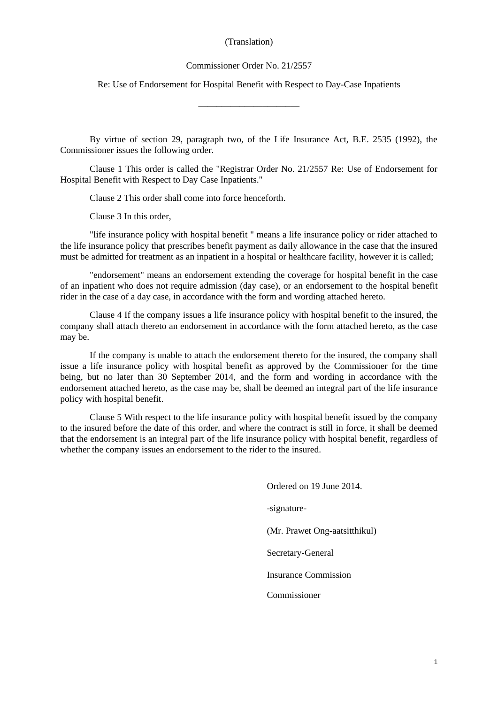# (Translation)

#### Commissioner Order No. 21/2557

Re: Use of Endorsement for Hospital Benefit with Respect to Day-Case Inpatients

\_\_\_\_\_\_\_\_\_\_\_\_\_\_\_\_\_\_\_\_\_\_

By virtue of section 29, paragraph two, of the Life Insurance Act, B.E. 2535 (1992), the Commissioner issues the following order.

Clause 1 This order is called the "Registrar Order No. 21/2557 Re: Use of Endorsement for Hospital Benefit with Respect to Day Case Inpatients."

Clause 2 This order shall come into force henceforth.

Clause 3 In this order,

"life insurance policy with hospital benefit " means a life insurance policy or rider attached to the life insurance policy that prescribes benefit payment as daily allowance in the case that the insured must be admitted for treatment as an inpatient in a hospital or healthcare facility, however it is called;

"endorsement" means an endorsement extending the coverage for hospital benefit in the case of an inpatient who does not require admission (day case), or an endorsement to the hospital benefit rider in the case of a day case, in accordance with the form and wording attached hereto.

Clause 4 If the company issues a life insurance policy with hospital benefit to the insured, the company shall attach thereto an endorsement in accordance with the form attached hereto, as the case may be.

If the company is unable to attach the endorsement thereto for the insured, the company shall issue a life insurance policy with hospital benefit as approved by the Commissioner for the time being, but no later than 30 September 2014, and the form and wording in accordance with the endorsement attached hereto, as the case may be, shall be deemed an integral part of the life insurance policy with hospital benefit.

Clause 5 With respect to the life insurance policy with hospital benefit issued by the company to the insured before the date of this order, and where the contract is still in force, it shall be deemed that the endorsement is an integral part of the life insurance policy with hospital benefit, regardless of whether the company issues an endorsement to the rider to the insured.

> Ordered on 19 June 2014. -signature- (Mr. Prawet Ong-aatsitthikul) Secretary-General Insurance Commission Commissioner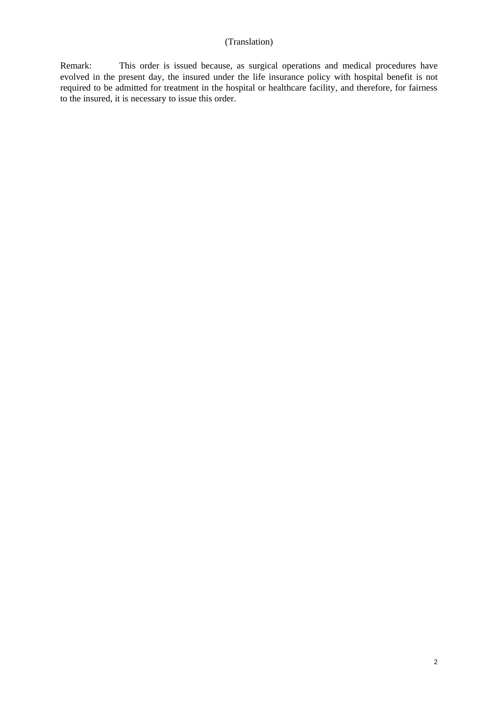Remark: This order is issued because, as surgical operations and medical procedures have evolved in the present day, the insured under the life insurance policy with hospital benefit is not required to be admitted for treatment in the hospital or healthcare facility, and therefore, for fairness to the insured, it is necessary to issue this order.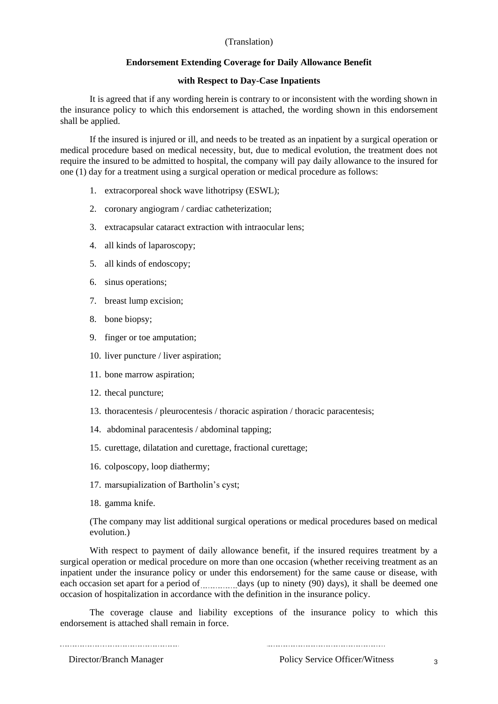# (Translation)

### **Endorsement Extending Coverage for Daily Allowance Benefit**

# **with Respect to Day-Case Inpatients**

It is agreed that if any wording herein is contrary to or inconsistent with the wording shown in the insurance policy to which this endorsement is attached, the wording shown in this endorsement shall be applied.

If the insured is injured or ill, and needs to be treated as an inpatient by a surgical operation or medical procedure based on medical necessity, but, due to medical evolution, the treatment does not require the insured to be admitted to hospital, the company will pay daily allowance to the insured for one (1) day for a treatment using a surgical operation or medical procedure as follows:

- 1. extracorporeal shock wave lithotripsy (ESWL);
- 2. coronary angiogram / cardiac catheterization;
- 3. extracapsular cataract extraction with intraocular lens;
- 4. all kinds of laparoscopy;
- 5. all kinds of endoscopy;
- 6. sinus operations;
- 7. breast lump excision;
- 8. bone biopsy;
- 9. finger or toe amputation;
- 10. liver puncture / liver aspiration;
- 11. bone marrow aspiration;
- 12. thecal puncture;
- 13. thoracentesis / pleurocentesis / thoracic aspiration / thoracic paracentesis;
- 14. abdominal paracentesis / abdominal tapping;
- 15. curettage, dilatation and curettage, fractional curettage;
- 16. colposcopy, loop diathermy;
- 17. marsupialization of Bartholin's cyst;
- 18. gamma knife.

(The company may list additional surgical operations or medical procedures based on medical evolution.)

With respect to payment of daily allowance benefit, if the insured requires treatment by a surgical operation or medical procedure on more than one occasion (whether receiving treatment as an inpatient under the insurance policy or under this endorsement) for the same cause or disease, with each occasion set apart for a period of  $\frac{1}{\sqrt{2}}$  days (up to ninety (90) days), it shall be deemed one occasion of hospitalization in accordance with the definition in the insurance policy.

The coverage clause and liability exceptions of the insurance policy to which this endorsement is attached shall remain in force.

Director/Branch Manager Policy Service Officer/Witness